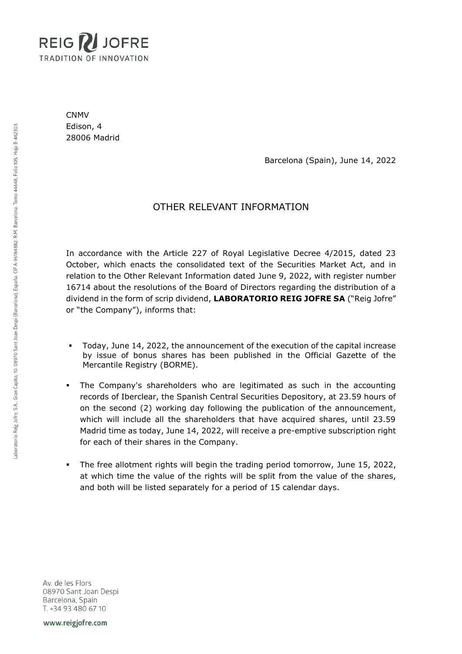

CNMV Edison, 4 28006 Madrid

Barcelona (Spain), June 14, 2022

## OTHER RELEVANT INFORMATION

In accordance with the Article 227 of Royal Legislative Decree 4/2015, dated 23 October, which enacts the consolidated text of the Securities Market Act, and in relation to the Other Relevant Information dated June 9, 2022, with register number 16714 about the resolutions of the Board of Directors regarding the distribution of a dividend in the form of scrip dividend, **LABORATORIO REIG JOFRE SA** ("Reig Jofre" or "the Company"), informs that:

- Today, June 14, 2022, the announcement of the execution of the capital increase by issue of bonus shares has been published in the Official Gazette of the Mercantile Registry (BORME).
- The Company's shareholders who are legitimated as such in the accounting records of Iberclear, the Spanish Central Securities Depository, at 23.59 hours of on the second (2) working day following the publication of the announcement, which will include all the shareholders that have acquired shares, until 23.59 Madrid time as today, June 14, 2022, will receive a pre-emptive subscription right for each of their shares in the Company.
- The free allotment rights will begin the trading period tomorrow, June 15, 2022, at which time the value of the rights will be split from the value of the shares, and both will be listed separately for a period of 15 calendar days.

Av. de les Flors 08970 Sant Joan Despi Barcelona, Spain T. +34 93 480 67 10

www.reigjofre.com